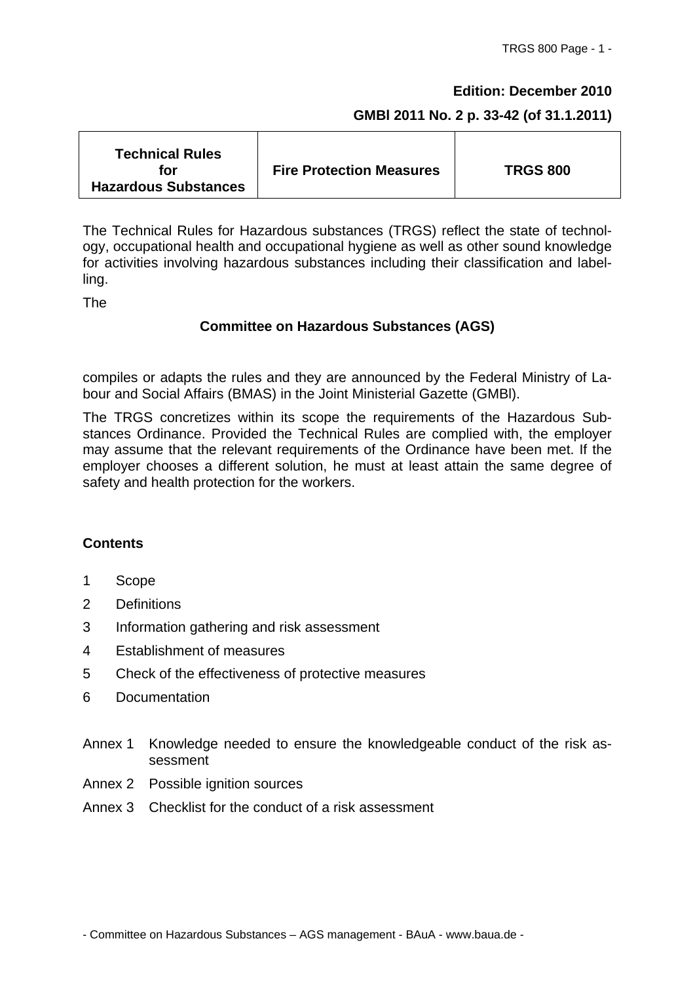#### **Edition: December 2010**

#### **GMBl 2011 No. 2 p. 33-42 (of 31.1.2011)**

The Technical Rules for Hazardous substances (TRGS) reflect the state of technology, occupational health and occupational hygiene as well as other sound knowledge for activities involving hazardous substances including their classification and labelling.

The

#### **Committee on Hazardous Substances (AGS)**

compiles or adapts the rules and they are announced by the Federal Ministry of Labour and Social Affairs (BMAS) in the Joint Ministerial Gazette (GMBl).

The TRGS concretizes within its scope the requirements of the Hazardous Substances Ordinance. Provided the Technical Rules are complied with, the employer may assume that the relevant requirements of the Ordinance have been met. If the employer chooses a different solution, he must at least attain the same degree of safety and health protection for the workers.

#### **Contents**

- 1 Scope
- 2 Definitions
- 3 Information gathering and risk assessment
- 4 Establishment of measures
- 5 Check of the effectiveness of protective measures
- 6 Documentation
- Annex 1 Knowledge needed to ensure the knowledgeable conduct of the risk assessment
- Annex 2 Possible ignition sources
- Annex 3 Checklist for the conduct of a risk assessment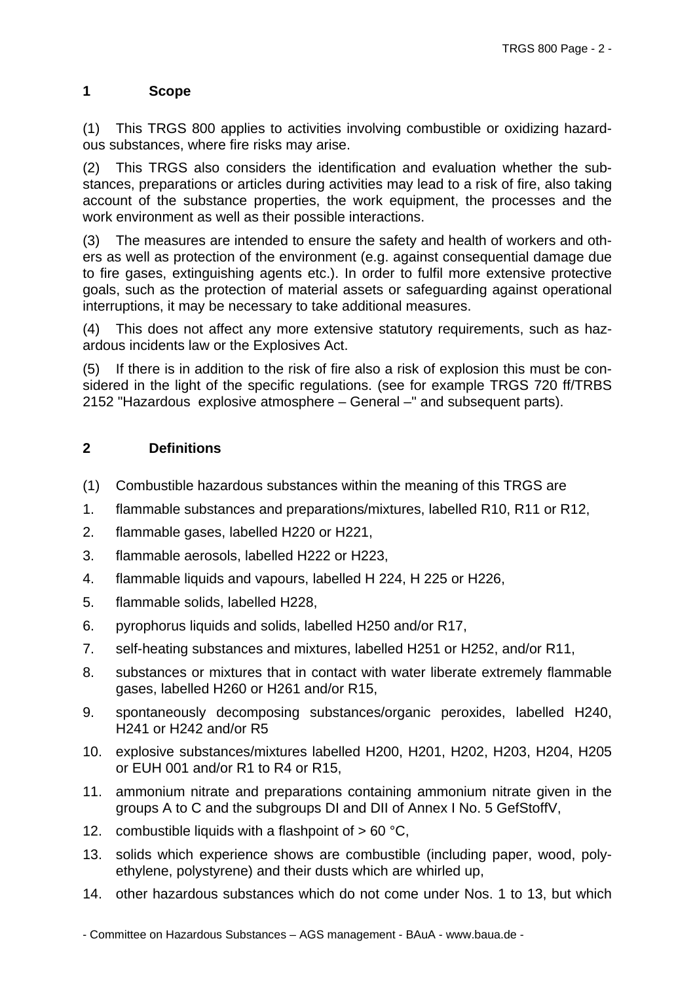## **1 Scope**

(1) This TRGS 800 applies to activities involving combustible or oxidizing hazardous substances, where fire risks may arise.

(2) This TRGS also considers the identification and evaluation whether the substances, preparations or articles during activities may lead to a risk of fire, also taking account of the substance properties, the work equipment, the processes and the work environment as well as their possible interactions.

(3) The measures are intended to ensure the safety and health of workers and others as well as protection of the environment (e.g. against consequential damage due to fire gases, extinguishing agents etc.). In order to fulfil more extensive protective goals, such as the protection of material assets or safeguarding against operational interruptions, it may be necessary to take additional measures.

(4) This does not affect any more extensive statutory requirements, such as hazardous incidents law or the Explosives Act.

(5) If there is in addition to the risk of fire also a risk of explosion this must be considered in the light of the specific regulations. (see for example TRGS 720 ff/TRBS 2152 "Hazardous explosive atmosphere – General –" and subsequent parts).

## **2 Definitions**

- (1) Combustible hazardous substances within the meaning of this TRGS are
- 1. flammable substances and preparations/mixtures, labelled R10, R11 or R12,
- 2. flammable gases, labelled H220 or H221,
- 3. flammable aerosols, labelled H222 or H223,
- 4. flammable liquids and vapours, labelled H 224, H 225 or H226,
- 5. flammable solids, labelled H228,
- 6. pyrophorus liquids and solids, labelled H250 and/or R17,
- 7. self-heating substances and mixtures, labelled H251 or H252, and/or R11,
- 8. substances or mixtures that in contact with water liberate extremely flammable gases, labelled H260 or H261 and/or R15,
- 9. spontaneously decomposing substances/organic peroxides, labelled H240, H241 or H242 and/or R5
- 10. explosive substances/mixtures labelled H200, H201, H202, H203, H204, H205 or EUH 001 and/or R1 to R4 or R15,
- 11. ammonium nitrate and preparations containing ammonium nitrate given in the groups A to C and the subgroups DI and DII of Annex I No. 5 GefStoffV,
- 12. combustible liquids with a flashpoint of  $> 60 °C$ ,
- 13. solids which experience shows are combustible (including paper, wood, polyethylene, polystyrene) and their dusts which are whirled up,
- 14. other hazardous substances which do not come under Nos. 1 to 13, but which

<sup>-</sup> Committee on Hazardous Substances – AGS management - BAuA - www.baua.de -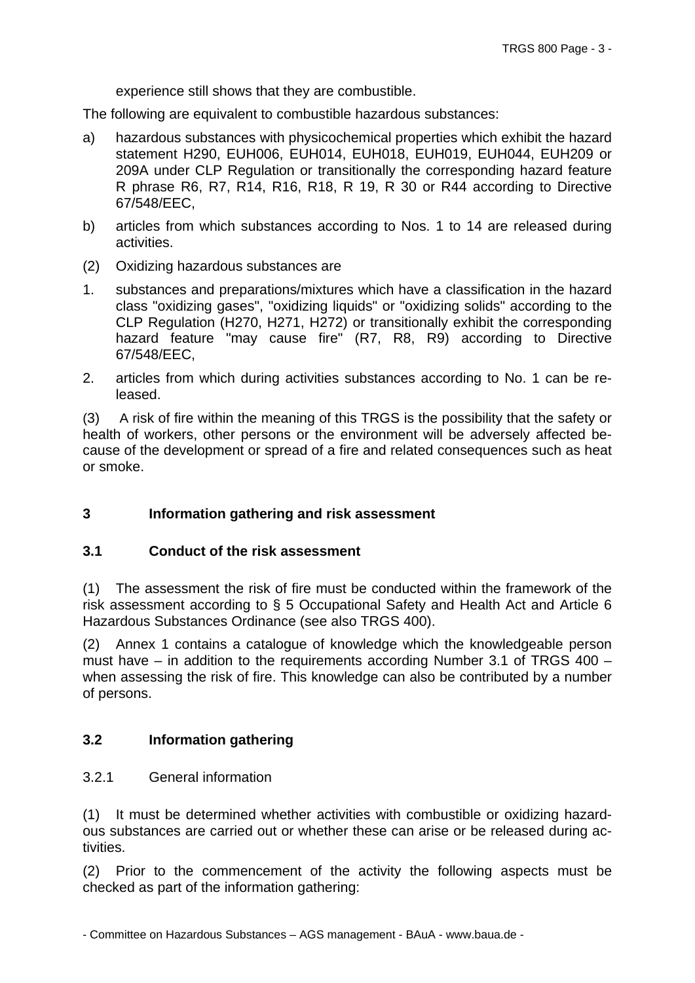experience still shows that they are combustible.

The following are equivalent to combustible hazardous substances:

- a) hazardous substances with physicochemical properties which exhibit the hazard statement H290, EUH006, EUH014, EUH018, EUH019, EUH044, EUH209 or 209A under CLP Regulation or transitionally the corresponding hazard feature R phrase R6, R7, R14, R16, R18, R 19, R 30 or R44 according to Directive 67/548/EEC,
- b) articles from which substances according to Nos. 1 to 14 are released during activities.
- (2) Oxidizing hazardous substances are
- 1. substances and preparations/mixtures which have a classification in the hazard class "oxidizing gases", "oxidizing liquids" or "oxidizing solids" according to the CLP Regulation (H270, H271, H272) or transitionally exhibit the corresponding hazard feature "may cause fire" (R7, R8, R9) according to Directive 67/548/EEC,
- 2. articles from which during activities substances according to No. 1 can be released.

(3) A risk of fire within the meaning of this TRGS is the possibility that the safety or health of workers, other persons or the environment will be adversely affected because of the development or spread of a fire and related consequences such as heat or smoke.

## **3 Information gathering and risk assessment**

#### **3.1 Conduct of the risk assessment**

(1) The assessment the risk of fire must be conducted within the framework of the risk assessment according to § 5 Occupational Safety and Health Act and Article 6 Hazardous Substances Ordinance (see also TRGS 400).

(2) Annex 1 contains a catalogue of knowledge which the knowledgeable person must have  $-$  in addition to the requirements according Number 3.1 of TRGS 400  $$ when assessing the risk of fire. This knowledge can also be contributed by a number of persons.

#### **3.2 Information gathering**

#### 3.2.1 General information

(1) It must be determined whether activities with combustible or oxidizing hazardous substances are carried out or whether these can arise or be released during activities.

(2) Prior to the commencement of the activity the following aspects must be checked as part of the information gathering: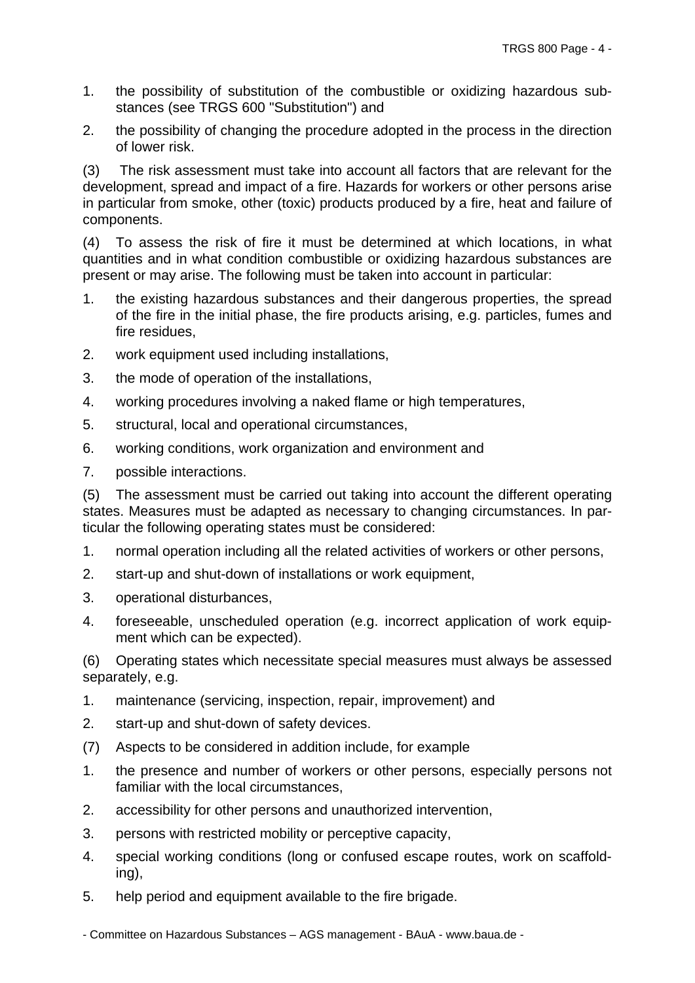- 1. the possibility of substitution of the combustible or oxidizing hazardous substances (see TRGS 600 "Substitution") and
- 2. the possibility of changing the procedure adopted in the process in the direction of lower risk.

(3) The risk assessment must take into account all factors that are relevant for the development, spread and impact of a fire. Hazards for workers or other persons arise in particular from smoke, other (toxic) products produced by a fire, heat and failure of components.

(4) To assess the risk of fire it must be determined at which locations, in what quantities and in what condition combustible or oxidizing hazardous substances are present or may arise. The following must be taken into account in particular:

- 1. the existing hazardous substances and their dangerous properties, the spread of the fire in the initial phase, the fire products arising, e.g. particles, fumes and fire residues,
- 2. work equipment used including installations,
- 3. the mode of operation of the installations,
- 4. working procedures involving a naked flame or high temperatures,
- 5. structural, local and operational circumstances,
- 6. working conditions, work organization and environment and
- 7. possible interactions.

(5) The assessment must be carried out taking into account the different operating states. Measures must be adapted as necessary to changing circumstances. In particular the following operating states must be considered:

- 1. normal operation including all the related activities of workers or other persons,
- 2. start-up and shut-down of installations or work equipment,
- 3. operational disturbances,
- 4. foreseeable, unscheduled operation (e.g. incorrect application of work equipment which can be expected).

(6) Operating states which necessitate special measures must always be assessed separately, e.g.

- 1. maintenance (servicing, inspection, repair, improvement) and
- 2. start-up and shut-down of safety devices.
- (7) Aspects to be considered in addition include, for example
- 1. the presence and number of workers or other persons, especially persons not familiar with the local circumstances,
- 2. accessibility for other persons and unauthorized intervention,
- 3. persons with restricted mobility or perceptive capacity,
- 4. special working conditions (long or confused escape routes, work on scaffolding),
- 5. help period and equipment available to the fire brigade.

- Committee on Hazardous Substances – AGS management - BAuA - www.baua.de -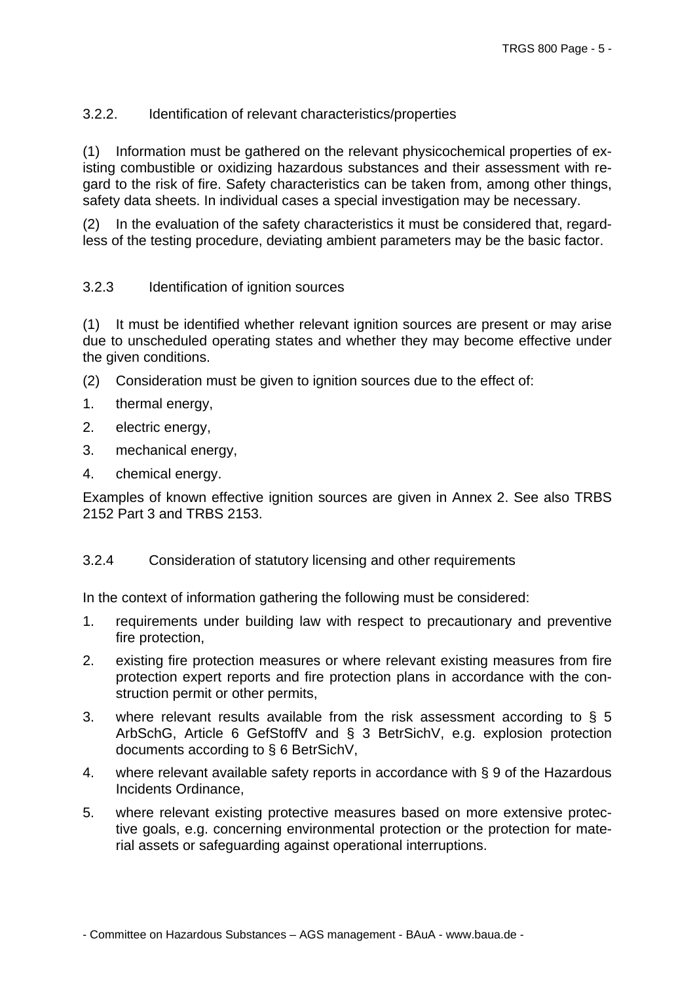### 3.2.2. Identification of relevant characteristics/properties

(1) Information must be gathered on the relevant physicochemical properties of existing combustible or oxidizing hazardous substances and their assessment with regard to the risk of fire. Safety characteristics can be taken from, among other things, safety data sheets. In individual cases a special investigation may be necessary.

(2) In the evaluation of the safety characteristics it must be considered that, regardless of the testing procedure, deviating ambient parameters may be the basic factor.

#### 3.2.3 Identification of ignition sources

(1) It must be identified whether relevant ignition sources are present or may arise due to unscheduled operating states and whether they may become effective under the given conditions.

- (2) Consideration must be given to ignition sources due to the effect of:
- 1. thermal energy,
- 2. electric energy,
- 3. mechanical energy,
- 4. chemical energy.

Examples of known effective ignition sources are given in Annex 2. See also TRBS 2152 Part 3 and TRBS 2153.

#### 3.2.4 Consideration of statutory licensing and other requirements

In the context of information gathering the following must be considered:

- 1. requirements under building law with respect to precautionary and preventive fire protection,
- 2. existing fire protection measures or where relevant existing measures from fire protection expert reports and fire protection plans in accordance with the construction permit or other permits,
- 3. where relevant results available from the risk assessment according to  $\S$  5 ArbSchG, Article 6 GefStoffV and § 3 BetrSichV, e.g. explosion protection documents according to § 6 BetrSichV,
- 4. where relevant available safety reports in accordance with § 9 of the Hazardous Incidents Ordinance,
- 5. where relevant existing protective measures based on more extensive protective goals, e.g. concerning environmental protection or the protection for material assets or safeguarding against operational interruptions.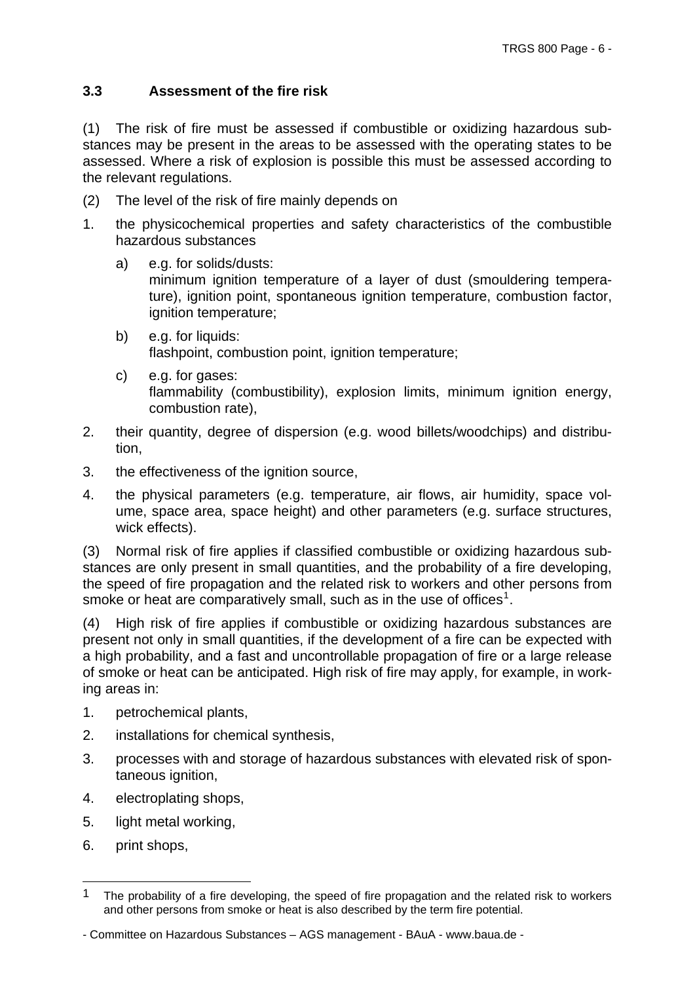# <span id="page-5-0"></span>**3.3 Assessment of the fire risk**

(1) The risk of fire must be assessed if combustible or oxidizing hazardous substances may be present in the areas to be assessed with the operating states to be assessed. Where a risk of explosion is possible this must be assessed according to the relevant regulations.

- (2) The level of the risk of fire mainly depends on
- 1. the physicochemical properties and safety characteristics of the combustible hazardous substances
	- a) e.g. for solids/dusts: minimum ignition temperature of a layer of dust (smouldering temperature), ignition point, spontaneous ignition temperature, combustion factor, ignition temperature;
	- b) e.g. for liquids: flashpoint, combustion point, ignition temperature;
	- c) e.g. for gases: flammability (combustibility), explosion limits, minimum ignition energy, combustion rate),
- 2. their quantity, degree of dispersion (e.g. wood billets/woodchips) and distribution,
- 3. the effectiveness of the ignition source,
- 4. the physical parameters (e.g. temperature, air flows, air humidity, space volume, space area, space height) and other parameters (e.g. surface structures, wick effects).

(3) Normal risk of fire applies if classified combustible or oxidizing hazardous substances are only present in small quantities, and the probability of a fire developing, the speed of fire propagation and the related risk to workers and other persons from smoke or heat are comparatively small, such as in the use of offices<sup>[1](#page-5-0)</sup>.

(4) High risk of fire applies if combustible or oxidizing hazardous substances are present not only in small quantities, if the development of a fire can be expected with a high probability, and a fast and uncontrollable propagation of fire or a large release of smoke or heat can be anticipated. High risk of fire may apply, for example, in working areas in:

- 1. petrochemical plants,
- 2. installations for chemical synthesis,
- 3. processes with and storage of hazardous substances with elevated risk of spontaneous ignition,
- 4. electroplating shops,
- 5. light metal working,
- 6. print shops,

1

<sup>1</sup> The probability of a fire developing, the speed of fire propagation and the related risk to workers and other persons from smoke or heat is also described by the term fire potential.

<sup>-</sup> Committee on Hazardous Substances – AGS management - BAuA - www.baua.de -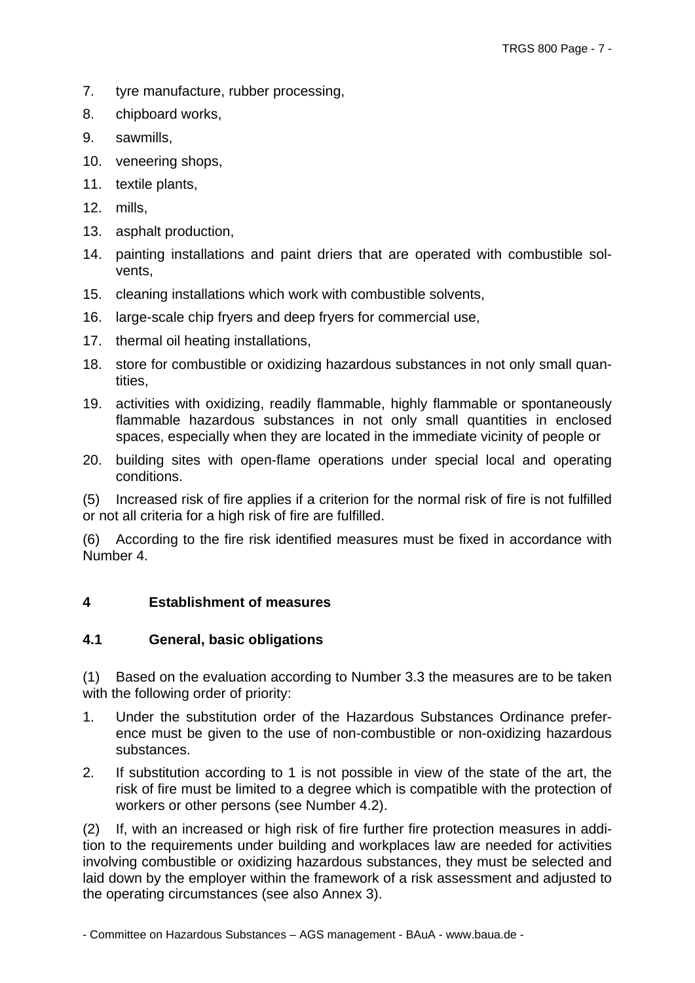- 7. tyre manufacture, rubber processing,
- 8. chipboard works,
- 9. sawmills,
- 10. veneering shops,
- 11. textile plants,
- 12. mills,
- 13. asphalt production,
- 14. painting installations and paint driers that are operated with combustible solvents,
- 15. cleaning installations which work with combustible solvents,
- 16. large-scale chip fryers and deep fryers for commercial use,
- 17. thermal oil heating installations,
- 18. store for combustible or oxidizing hazardous substances in not only small quantities,
- 19. activities with oxidizing, readily flammable, highly flammable or spontaneously flammable hazardous substances in not only small quantities in enclosed spaces, especially when they are located in the immediate vicinity of people or
- 20. building sites with open-flame operations under special local and operating conditions.

(5) Increased risk of fire applies if a criterion for the normal risk of fire is not fulfilled or not all criteria for a high risk of fire are fulfilled.

(6) According to the fire risk identified measures must be fixed in accordance with Number 4.

## **4 Establishment of measures**

## **4.1 General, basic obligations**

(1) Based on the evaluation according to Number 3.3 the measures are to be taken with the following order of priority:

- 1. Under the substitution order of the Hazardous Substances Ordinance preference must be given to the use of non-combustible or non-oxidizing hazardous substances.
- 2. If substitution according to 1 is not possible in view of the state of the art, the risk of fire must be limited to a degree which is compatible with the protection of workers or other persons (see Number 4.2).

(2) If, with an increased or high risk of fire further fire protection measures in addition to the requirements under building and workplaces law are needed for activities involving combustible or oxidizing hazardous substances, they must be selected and laid down by the employer within the framework of a risk assessment and adjusted to the operating circumstances (see also Annex 3).

<sup>-</sup> Committee on Hazardous Substances – AGS management - BAuA - www.baua.de -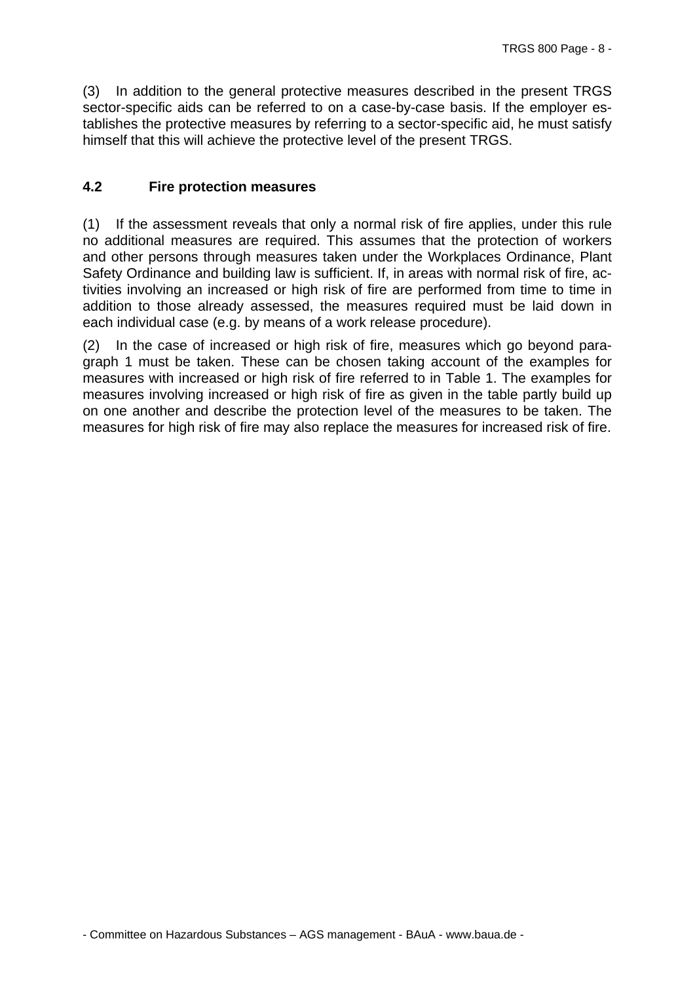(3) In addition to the general protective measures described in the present TRGS sector-specific aids can be referred to on a case-by-case basis. If the employer establishes the protective measures by referring to a sector-specific aid, he must satisfy himself that this will achieve the protective level of the present TRGS.

### **4.2 Fire protection measures**

(1) If the assessment reveals that only a normal risk of fire applies, under this rule no additional measures are required. This assumes that the protection of workers and other persons through measures taken under the Workplaces Ordinance, Plant Safety Ordinance and building law is sufficient. If, in areas with normal risk of fire, activities involving an increased or high risk of fire are performed from time to time in addition to those already assessed, the measures required must be laid down in each individual case (e.g. by means of a work release procedure).

(2) In the case of increased or high risk of fire, measures which go beyond paragraph 1 must be taken. These can be chosen taking account of the examples for measures with increased or high risk of fire referred to in Table 1. The examples for measures involving increased or high risk of fire as given in the table partly build up on one another and describe the protection level of the measures to be taken. The measures for high risk of fire may also replace the measures for increased risk of fire.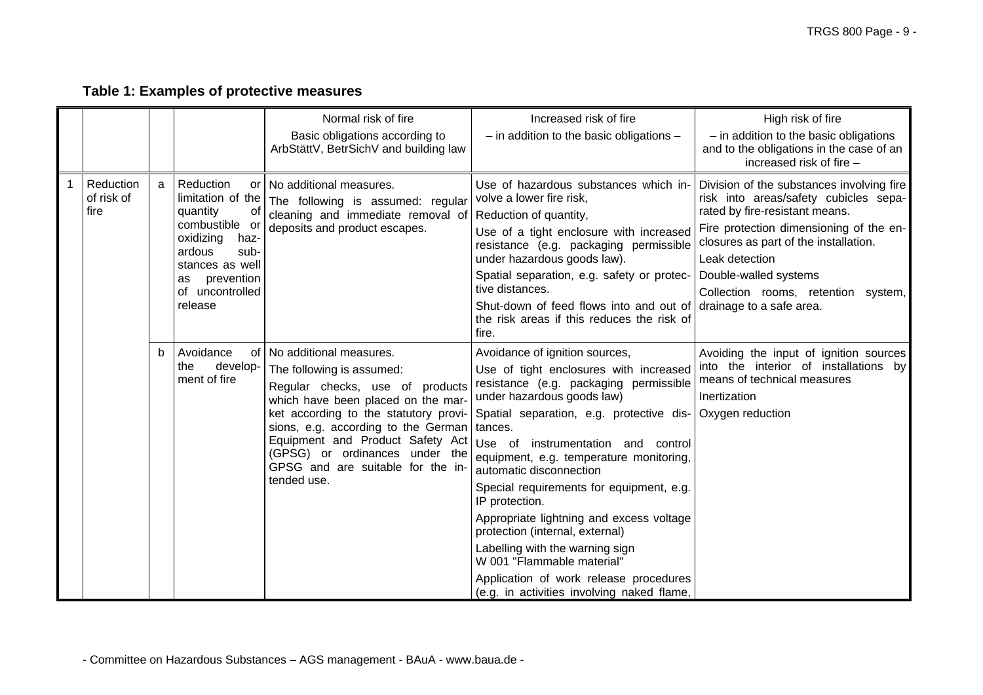# **Table 1: Examples of protective measures**

|   |                                        |   |                                                                                                                                                                                | Normal risk of fire<br>Basic obligations according to<br>ArbStättV, BetrSichV and building law                                                                                                                                                                                                                                          | Increased risk of fire<br>$-$ in addition to the basic obligations $-$                                                                                                                                                                                                                                                                                                                                                                                                                                                                                                                                                                     | High risk of fire<br>$-$ in addition to the basic obligations<br>and to the obligations in the case of an<br>increased risk of fire -                                                                                                                             |
|---|----------------------------------------|---|--------------------------------------------------------------------------------------------------------------------------------------------------------------------------------|-----------------------------------------------------------------------------------------------------------------------------------------------------------------------------------------------------------------------------------------------------------------------------------------------------------------------------------------|--------------------------------------------------------------------------------------------------------------------------------------------------------------------------------------------------------------------------------------------------------------------------------------------------------------------------------------------------------------------------------------------------------------------------------------------------------------------------------------------------------------------------------------------------------------------------------------------------------------------------------------------|-------------------------------------------------------------------------------------------------------------------------------------------------------------------------------------------------------------------------------------------------------------------|
| 1 | <b>Reduction</b><br>of risk of<br>fire | a | Reduction<br>limitation of the<br>quantity<br>0t<br>combustible or<br>oxidizing<br>haz-<br>ardous<br>sub-<br>stances as well<br>prevention<br>as<br>of uncontrolled<br>release | or   No additional measures.<br>The following is assumed: regular<br>cleaning and immediate removal of Reduction of quantity,<br>deposits and product escapes.                                                                                                                                                                          | Use of hazardous substances which in-<br>volve a lower fire risk,<br>Use of a tight enclosure with increased<br>resistance (e.g. packaging permissible<br>under hazardous goods law).<br>Spatial separation, e.g. safety or protec- Double-walled systems<br>tive distances.<br>Shut-down of feed flows into and out of drainage to a safe area.<br>the risk areas if this reduces the risk of<br>fire.                                                                                                                                                                                                                                    | Division of the substances involving fire<br>risk into areas/safety cubicles sepa-<br>rated by fire-resistant means.<br>Fire protection dimensioning of the en-<br>closures as part of the installation.<br>Leak detection<br>Collection rooms, retention system, |
|   |                                        | b | Avoidance<br>0f<br>develop-<br>the<br>ment of fire                                                                                                                             | No additional measures.<br>The following is assumed:<br>Regular checks, use of products<br>which have been placed on the mar-<br>ket according to the statutory provi-<br>sions, e.g. according to the German<br>Equipment and Product Safety Act<br>(GPSG) or ordinances under the<br>GPSG and are suitable for the in-<br>tended use. | Avoidance of ignition sources,<br>Use of tight enclosures with increased<br>resistance (e.g. packaging permissible<br>under hazardous goods law)<br>Spatial separation, e.g. protective dis- Oxygen reduction<br>tances.<br>Use of instrumentation and control<br>equipment, e.g. temperature monitoring,<br>automatic disconnection<br>Special requirements for equipment, e.g.<br>IP protection.<br>Appropriate lightning and excess voltage<br>protection (internal, external)<br>Labelling with the warning sign<br>W 001 "Flammable material"<br>Application of work release procedures<br>(e.g. in activities involving naked flame, | Avoiding the input of ignition sources<br>into the interior of installations by<br>means of technical measures<br>Inertization                                                                                                                                    |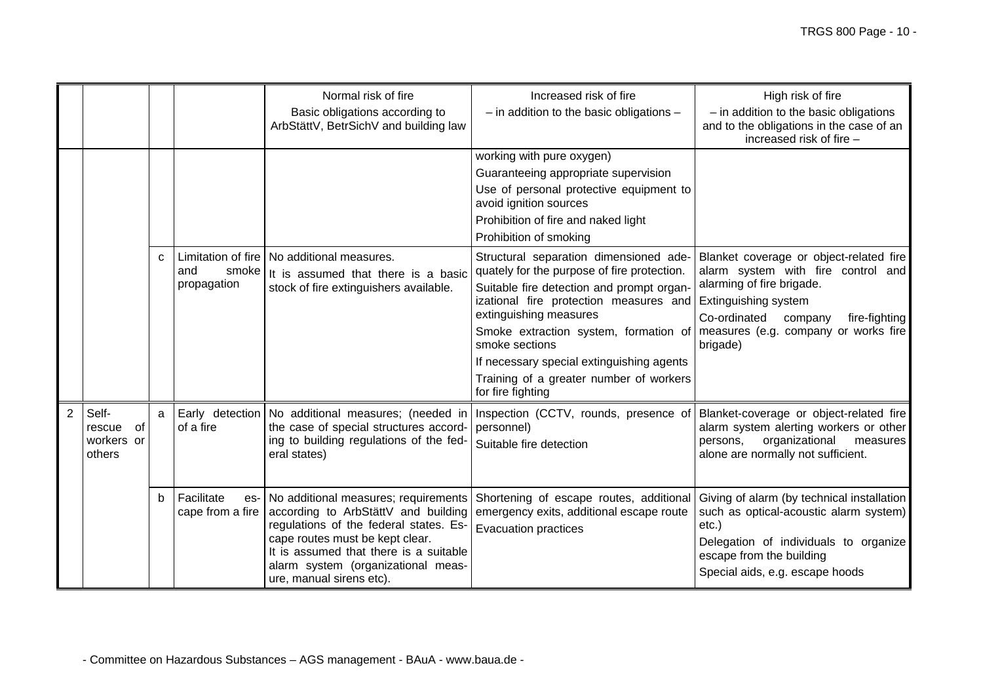|                |                                               |   |                                                   | Normal risk of fire                                                                                                                                                                                                                                                  | Increased risk of fire                                                                                                                                                                                                                                                                                                                                                                                                                   | High risk of fire                                                                                                                                                                                     |
|----------------|-----------------------------------------------|---|---------------------------------------------------|----------------------------------------------------------------------------------------------------------------------------------------------------------------------------------------------------------------------------------------------------------------------|------------------------------------------------------------------------------------------------------------------------------------------------------------------------------------------------------------------------------------------------------------------------------------------------------------------------------------------------------------------------------------------------------------------------------------------|-------------------------------------------------------------------------------------------------------------------------------------------------------------------------------------------------------|
|                |                                               |   |                                                   | Basic obligations according to<br>ArbStättV, BetrSichV and building law                                                                                                                                                                                              | $-$ in addition to the basic obligations $-$                                                                                                                                                                                                                                                                                                                                                                                             | $-$ in addition to the basic obligations<br>and to the obligations in the case of an<br>increased risk of fire -                                                                                      |
|                |                                               |   |                                                   |                                                                                                                                                                                                                                                                      | working with pure oxygen)<br>Guaranteeing appropriate supervision<br>Use of personal protective equipment to<br>avoid ignition sources<br>Prohibition of fire and naked light<br>Prohibition of smoking                                                                                                                                                                                                                                  |                                                                                                                                                                                                       |
|                |                                               | C | Limitation of fire<br>and<br>smoke<br>propagation | No additional measures.<br>It is assumed that there is a basic<br>stock of fire extinguishers available.                                                                                                                                                             | Structural separation dimensioned ade-<br>quately for the purpose of fire protection.<br>Suitable fire detection and prompt organ-<br>izational fire protection measures and Extinguishing system<br>extinguishing measures<br>Smoke extraction system, formation of measures (e.g. company or works fire<br>smoke sections<br>If necessary special extinguishing agents<br>Training of a greater number of workers<br>for fire fighting | Blanket coverage or object-related fire<br>alarm system with fire control and<br>alarming of fire brigade.<br>Co-ordinated<br>fire-fighting<br>company<br>brigade)                                    |
| $\overline{2}$ | Self-<br>of<br>rescue<br>workers or<br>others | a | of a fire                                         | Early detection   No additional measures; (needed in<br>the case of special structures accord-<br>ing to building regulations of the fed-<br>eral states)                                                                                                            | Inspection (CCTV, rounds, presence of<br>personnel)<br>Suitable fire detection                                                                                                                                                                                                                                                                                                                                                           | Blanket-coverage or object-related fire<br>alarm system alerting workers or other<br>organizational<br>persons,<br>measures<br>alone are normally not sufficient.                                     |
|                |                                               | b | Facilitate<br>es-<br>cape from a fire             | No additional measures; requirements<br>according to ArbStättV and building<br>regulations of the federal states. Es-<br>cape routes must be kept clear.<br>It is assumed that there is a suitable<br>alarm system (organizational meas-<br>ure, manual sirens etc). | Shortening of escape routes, additional<br>emergency exits, additional escape route<br><b>Evacuation practices</b>                                                                                                                                                                                                                                                                                                                       | Giving of alarm (by technical installation<br>such as optical-acoustic alarm system)<br>etc.)<br>Delegation of individuals to organize<br>escape from the building<br>Special aids, e.g. escape hoods |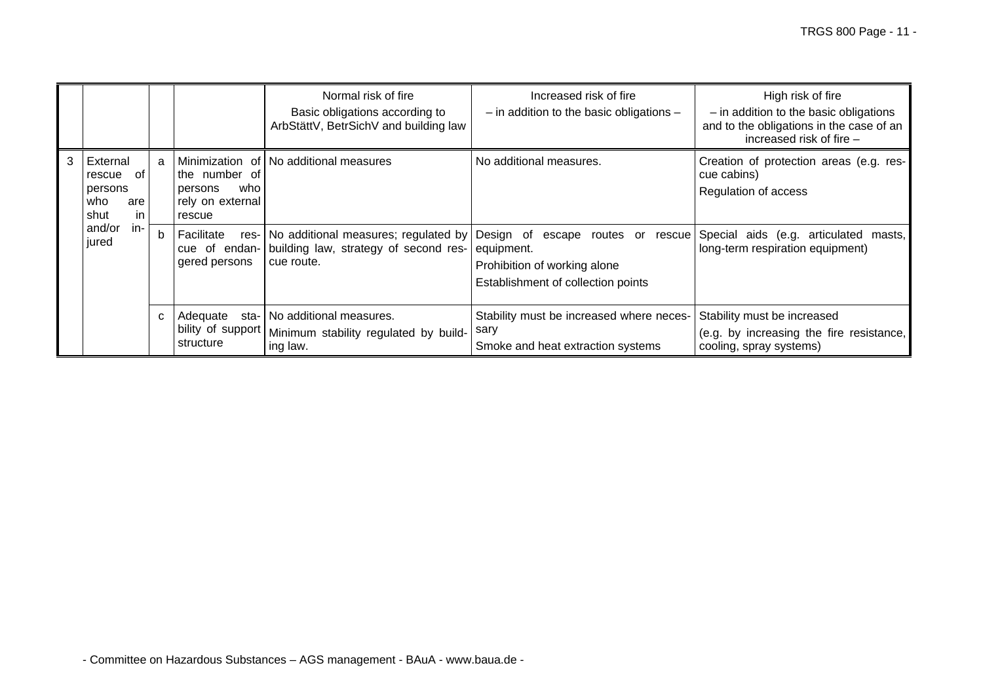|   |                                                                 |             |                                                               | Normal risk of fire<br>Basic obligations according to<br>ArbStättV, BetrSichV and building law                 | Increased risk of fire<br>$-$ in addition to the basic obligations $-$                                                      | High risk of fire<br>$-$ in addition to the basic obligations<br>and to the obligations in the case of an<br>increased risk of fire - |
|---|-----------------------------------------------------------------|-------------|---------------------------------------------------------------|----------------------------------------------------------------------------------------------------------------|-----------------------------------------------------------------------------------------------------------------------------|---------------------------------------------------------------------------------------------------------------------------------------|
| 3 | External<br>0f<br>rescue<br>persons<br>who<br>are<br>in<br>shut | a           | the number of<br>who<br>persons<br>rely on external<br>rescue | Minimization of   No additional measures                                                                       | No additional measures.                                                                                                     | Creation of protection areas (e.g. res-<br>cue cabins)<br>Regulation of access                                                        |
|   | and/or<br>in-<br>jured                                          | $\mathsf b$ | Facilitate<br>gered persons                                   | res- No additional measures; regulated by<br>cue of endan- building law, strategy of second res-<br>cue route. | Design of<br>escape routes or<br>rescue<br>equipment.<br>Prohibition of working alone<br>Establishment of collection points | Special aids (e.g. articulated<br>masts.<br>long-term respiration equipment)                                                          |
|   |                                                                 | C           | Adequate<br>sta-<br>bility of support<br>structure            | No additional measures.<br>Minimum stability regulated by build-<br>ing law.                                   | Stability must be increased where neces-<br>sary<br>Smoke and heat extraction systems                                       | Stability must be increased<br>(e.g. by increasing the fire resistance,<br>cooling, spray systems)                                    |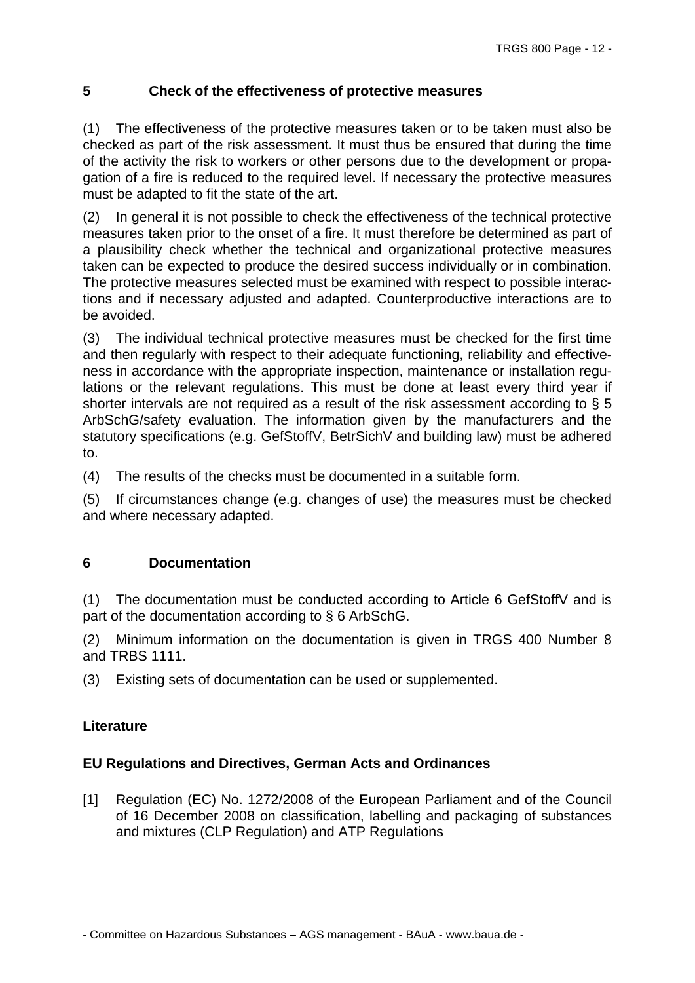## **5 Check of the effectiveness of protective measures**

(1) The effectiveness of the protective measures taken or to be taken must also be checked as part of the risk assessment. It must thus be ensured that during the time of the activity the risk to workers or other persons due to the development or propagation of a fire is reduced to the required level. If necessary the protective measures must be adapted to fit the state of the art.

(2) In general it is not possible to check the effectiveness of the technical protective measures taken prior to the onset of a fire. It must therefore be determined as part of a plausibility check whether the technical and organizational protective measures taken can be expected to produce the desired success individually or in combination. The protective measures selected must be examined with respect to possible interactions and if necessary adjusted and adapted. Counterproductive interactions are to be avoided.

(3) The individual technical protective measures must be checked for the first time and then regularly with respect to their adequate functioning, reliability and effectiveness in accordance with the appropriate inspection, maintenance or installation regulations or the relevant regulations. This must be done at least every third year if shorter intervals are not required as a result of the risk assessment according to § 5 ArbSchG/safety evaluation. The information given by the manufacturers and the statutory specifications (e.g. GefStoffV, BetrSichV and building law) must be adhered to.

(4) The results of the checks must be documented in a suitable form.

(5) If circumstances change (e.g. changes of use) the measures must be checked and where necessary adapted.

## **6 Documentation**

(1) The documentation must be conducted according to Article 6 GefStoffV and is part of the documentation according to § 6 ArbSchG.

(2) Minimum information on the documentation is given in TRGS 400 Number 8 and TRBS 1111.

(3) Existing sets of documentation can be used or supplemented.

## **Literature**

#### **EU Regulations and Directives, German Acts and Ordinances**

[1] Regulation (EC) No. 1272/2008 of the European Parliament and of the Council of 16 December 2008 on classification, labelling and packaging of substances and mixtures (CLP Regulation) and ATP Regulations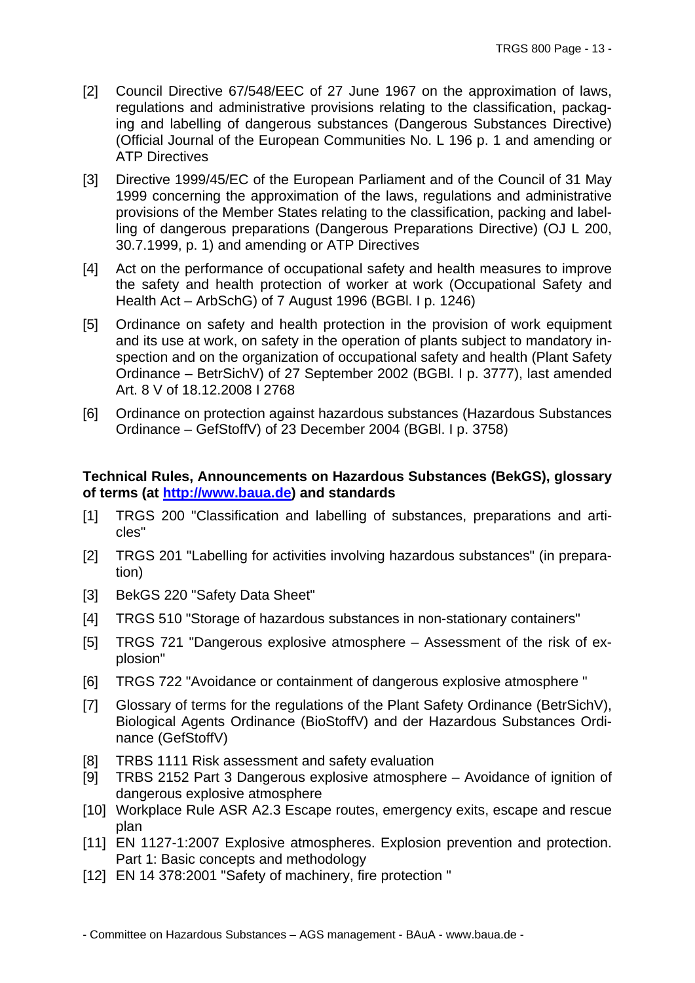- [2] Council Directive 67/548/EEC of 27 June 1967 on the approximation of laws, regulations and administrative provisions relating to the classification, packaging and labelling of dangerous substances (Dangerous Substances Directive) (Official Journal of the European Communities No. L 196 p. 1 and amending or ATP Directives
- [3] Directive 1999/45/EC of the European Parliament and of the Council of 31 May 1999 concerning the approximation of the laws, regulations and administrative provisions of the Member States relating to the classification, packing and labelling of dangerous preparations (Dangerous Preparations Directive) (OJ L 200, 30.7.1999, p. 1) and amending or ATP Directives
- [4] Act on the performance of occupational safety and health measures to improve the safety and health protection of worker at work (Occupational Safety and Health Act – ArbSchG) of 7 August 1996 (BGBl. I p. 1246)
- [5] Ordinance on safety and health protection in the provision of work equipment and its use at work, on safety in the operation of plants subject to mandatory inspection and on the organization of occupational safety and health (Plant Safety Ordinance – BetrSichV) of 27 September 2002 (BGBl. I p. 3777), last amended Art. 8 V of 18.12.2008 I 2768
- [6] Ordinance on protection against hazardous substances (Hazardous Substances Ordinance – GefStoffV) of 23 December 2004 (BGBl. I p. 3758)

#### **Technical Rules, Announcements on Hazardous Substances (BekGS), glossary of terms (at [http://www.baua.de\)](http://www.baua.de/cln_137/de/Themen-von-A-/Gefahrstoffe/TRGS/TRGS.html) and standards**

- [1] TRGS 200 "Classification and labelling of substances, preparations and articles"
- [2] TRGS 201 "Labelling for activities involving hazardous substances" (in preparation)
- [3] BekGS 220 "Safety Data Sheet"
- [4] TRGS 510 "Storage of hazardous substances in non-stationary containers"
- [5] TRGS 721 "Dangerous explosive atmosphere Assessment of the risk of explosion"
- [6] TRGS 722 "Avoidance or containment of dangerous explosive atmosphere "
- [7] Glossary of terms for the regulations of the Plant Safety Ordinance (BetrSichV), Biological Agents Ordinance (BioStoffV) and der Hazardous Substances Ordinance (GefStoffV)
- [8] TRBS 1111 Risk assessment and safety evaluation
- [9] TRBS 2152 Part 3 Dangerous explosive atmosphere Avoidance of ignition of dangerous explosive atmosphere
- [10] Workplace Rule ASR A2.3 Escape routes, emergency exits, escape and rescue plan
- [11] EN 1127-1:2007 Explosive atmospheres. Explosion prevention and protection. Part 1: Basic concepts and methodology
- [12] EN 14 378:2001 "Safety of machinery, fire protection "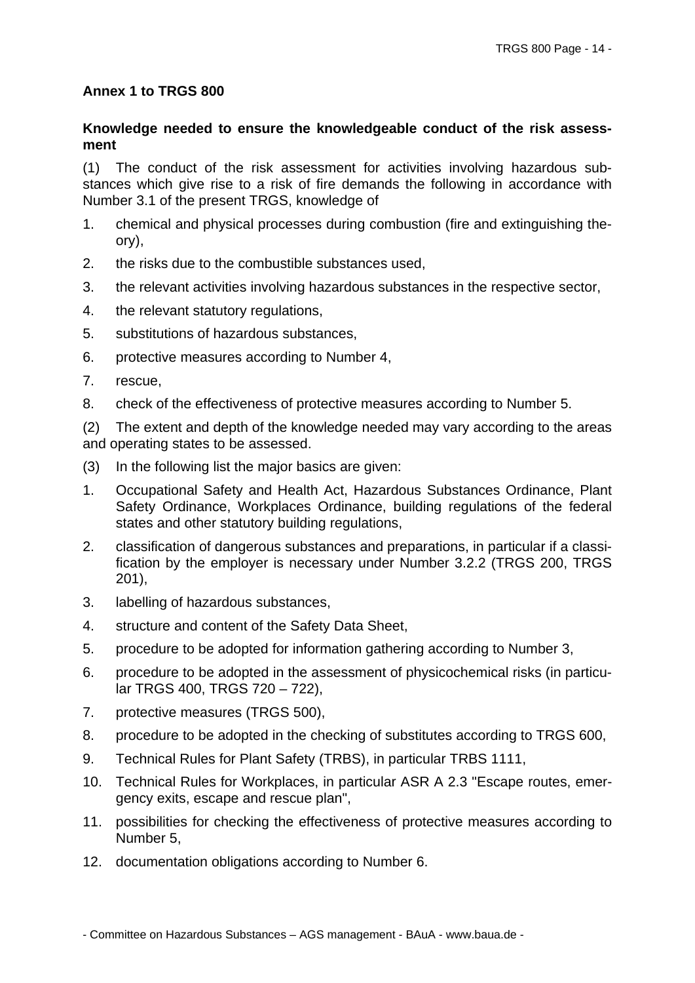### **Annex 1 to TRGS 800**

### **Knowledge needed to ensure the knowledgeable conduct of the risk assessment**

(1) The conduct of the risk assessment for activities involving hazardous substances which give rise to a risk of fire demands the following in accordance with Number 3.1 of the present TRGS, knowledge of

- 1. chemical and physical processes during combustion (fire and extinguishing theory),
- 2. the risks due to the combustible substances used,
- 3. the relevant activities involving hazardous substances in the respective sector,
- 4. the relevant statutory regulations,
- 5. substitutions of hazardous substances,
- 6. protective measures according to Number 4,
- 7. rescue,
- 8. check of the effectiveness of protective measures according to Number 5.

(2) The extent and depth of the knowledge needed may vary according to the areas and operating states to be assessed.

- (3) In the following list the major basics are given:
- 1. Occupational Safety and Health Act, Hazardous Substances Ordinance, Plant Safety Ordinance, Workplaces Ordinance, building regulations of the federal states and other statutory building regulations,
- 2. classification of dangerous substances and preparations, in particular if a classification by the employer is necessary under Number 3.2.2 (TRGS 200, TRGS 201),
- 3. labelling of hazardous substances,
- 4. structure and content of the Safety Data Sheet,
- 5. procedure to be adopted for information gathering according to Number 3,
- 6. procedure to be adopted in the assessment of physicochemical risks (in particular TRGS 400, TRGS 720 – 722),
- 7. protective measures (TRGS 500),
- 8. procedure to be adopted in the checking of substitutes according to TRGS 600,
- 9. Technical Rules for Plant Safety (TRBS), in particular TRBS 1111,
- 10. Technical Rules for Workplaces, in particular ASR A 2.3 "Escape routes, emergency exits, escape and rescue plan",
- 11. possibilities for checking the effectiveness of protective measures according to Number 5,
- 12. documentation obligations according to Number 6.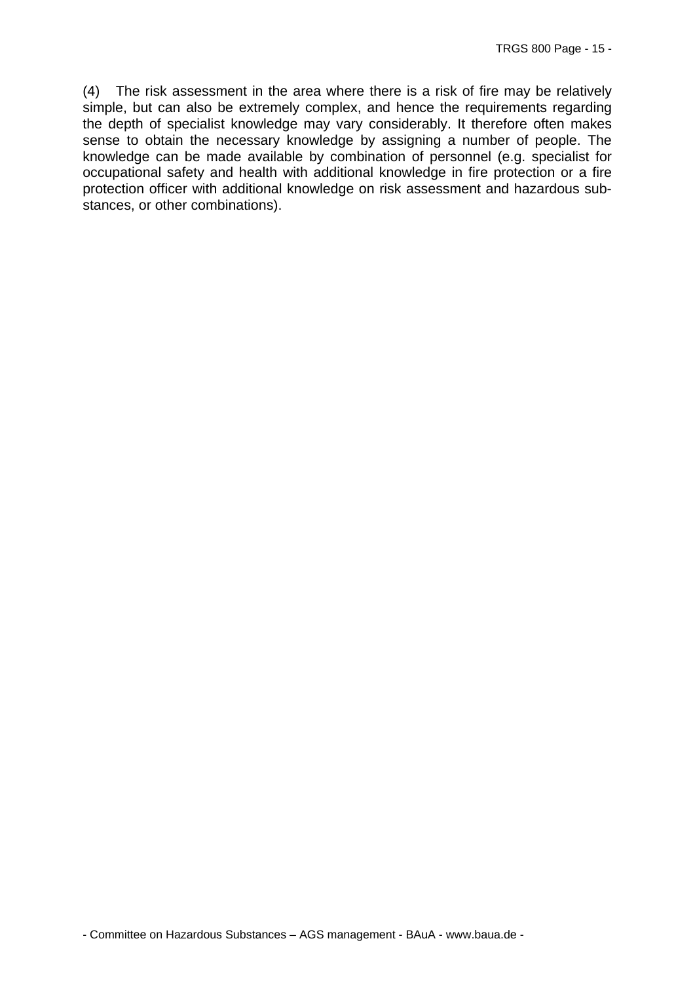(4) The risk assessment in the area where there is a risk of fire may be relatively simple, but can also be extremely complex, and hence the requirements regarding the depth of specialist knowledge may vary considerably. It therefore often makes sense to obtain the necessary knowledge by assigning a number of people. The knowledge can be made available by combination of personnel (e.g. specialist for occupational safety and health with additional knowledge in fire protection or a fire protection officer with additional knowledge on risk assessment and hazardous substances, or other combinations).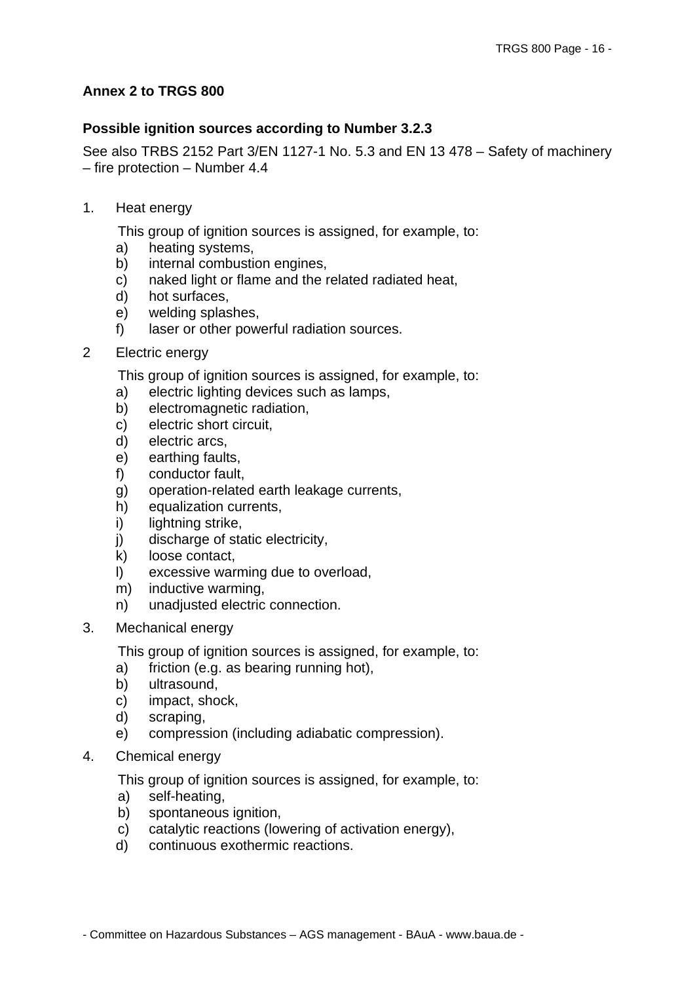### **Annex 2 to TRGS 800**

### **Possible ignition sources according to Number 3.2.3**

See also TRBS 2152 Part 3/EN 1127-1 No. 5.3 and EN 13 478 – Safety of machinery – fire protection – Number 4.4

1. Heat energy

This group of ignition sources is assigned, for example, to:

- a) heating systems,
- b) internal combustion engines,
- c) naked light or flame and the related radiated heat,
- d) hot surfaces,
- e) welding splashes,
- f) laser or other powerful radiation sources.
- 2 Electric energy

This group of ignition sources is assigned, for example, to:

- a) electric lighting devices such as lamps,
- b) electromagnetic radiation,
- c) electric short circuit,
- d) electric arcs,
- e) earthing faults,
- f) conductor fault,
- g) operation-related earth leakage currents,
- h) equalization currents,
- i) lightning strike,
- j) discharge of static electricity,
- k) loose contact,
- l) excessive warming due to overload,
- m) inductive warming,
- n) unadjusted electric connection.
- 3. Mechanical energy

This group of ignition sources is assigned, for example, to:

- a) friction (e.g. as bearing running hot),
- b) ultrasound,
- c) impact, shock,
- d) scraping,
- e) compression (including adiabatic compression).
- 4. Chemical energy

This group of ignition sources is assigned, for example, to:

- a) self-heating,
- b) spontaneous ignition.
- c) catalytic reactions (lowering of activation energy),
- d) continuous exothermic reactions.